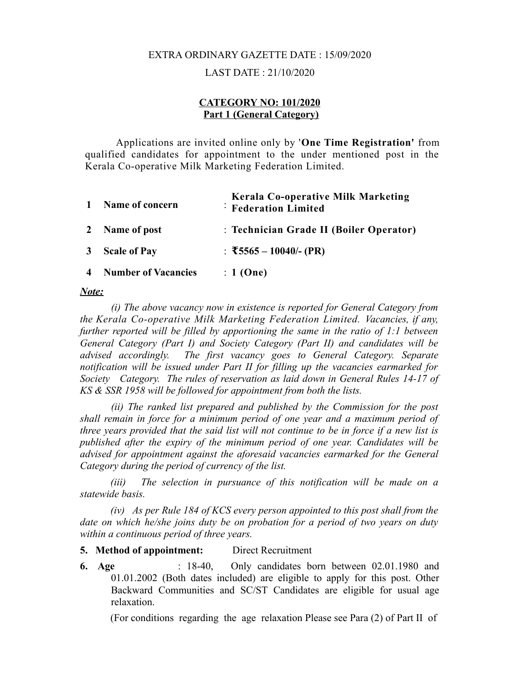# EXTRA ORDINARY GAZETTE DATE : 15/09/2020

#### LAST DATE : 21/10/2020

#### **CATEGORY NO: 101/2020 Part 1 (General Category)**

Applications are invited online only by '**One Time Registration'** from qualified candidates for appointment to the under mentioned post in the Kerala Co-operative Milk Marketing Federation Limited.

| $\mathbf{1}$ | Name of concern              | <b>Kerala Co-operative Milk Marketing</b><br><b>Federation Limited</b> |
|--------------|------------------------------|------------------------------------------------------------------------|
|              | 2 Name of post               | : Technician Grade II (Boiler Operator)                                |
|              | 3 Scale of Pay               | : $\overline{55565} - 10040/(-$ (PR)                                   |
|              | <b>4</b> Number of Vacancies | $: 1$ (One)                                                            |

#### *Note:*

*(i) The above vacancy now in existence is reported for General Category from the Kerala Co-operative Milk Marketing Federation Limited. Vacancies, if any, further reported will be filled by apportioning the same in the ratio of 1:1 between General Category (Part I) and Society Category (Part II) and candidates will be advised accordingly. The first vacancy goes to General Category. Separate notification will be issued under Part II for filling up the vacancies earmarked for Society Category. The rules of reservation as laid down in General Rules 14-17 of KS & SSR 1958 will be followed for appointment from both the lists.*

*(ii) The ranked list prepared and published by the Commission for the post shall remain in force for a minimum period of one year and a maximum period of three years provided that the said list will not continue to be in force if a new list is published after the expiry of the minimum period of one year. Candidates will be advised for appointment against the aforesaid vacancies earmarked for the General Category during the period of currency of the list.*

*(iii) The selection in pursuance of this notification will be made on a statewide basis.*

*(iv) As per Rule 184 of KCS every person appointed to this post shall from the date on which he/she joins duty be on probation for a period of two years on duty within a continuous period of three years.*

**5. Method of appointment:** Direct Recruitment

**6. Age** : 18-40, Only candidates born between 02.01.1980 and 01.01.2002 (Both dates included) are eligible to apply for this post. Other Backward Communities and SC/ST Candidates are eligible for usual age relaxation.

(For conditions regarding the age relaxation Please see Para (2) of Part II of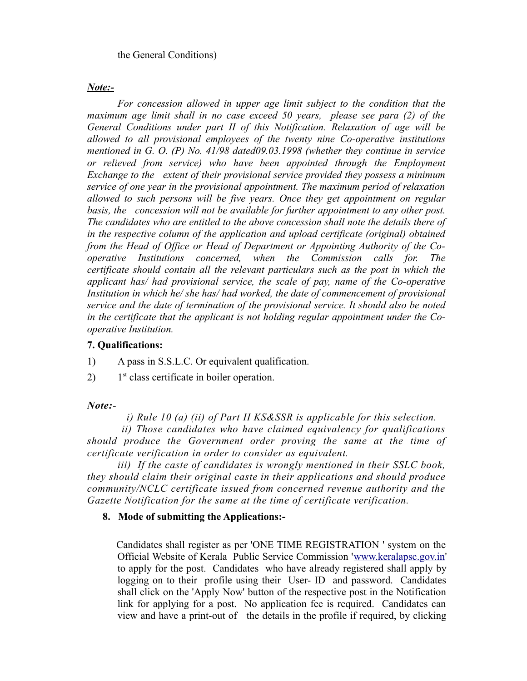the General Conditions)

#### *Note:-*

*For concession allowed in upper age limit subject to the condition that the maximum age limit shall in no case exceed 50 years, please see para (2) of the General Conditions under part II of this Notification. Relaxation of age will be allowed to all provisional employees of the twenty nine Co-operative institutions mentioned in G. O. (P) No. 41/98 dated09.03.1998 (whether they continue in service or relieved from service) who have been appointed through the Employment Exchange to the extent of their provisional service provided they possess a minimum service of one year in the provisional appointment. The maximum period of relaxation allowed to such persons will be five years. Once they get appointment on regular basis, the concession will not be available for further appointment to any other post. The candidates who are entitled to the above concession shall note the details there of in the respective column of the application and upload certificate (original) obtained from the Head of Office or Head of Department or Appointing Authority of the Cooperative Institutions concerned, when the Commission calls for. The certificate should contain all the relevant particulars such as the post in which the applicant has/ had provisional service, the scale of pay, name of the Co-operative Institution in which he/ she has/ had worked, the date of commencement of provisional service and the date of termination of the provisional service. It should also be noted in the certificate that the applicant is not holding regular appointment under the Cooperative Institution.*

### **7. Qualifications:**

1) A pass in S.S.L.C. Or equivalent qualification.

2) 1<sup>st</sup> class certificate in boiler operation.

### *Note:-*

 *i) Rule 10 (a) (ii) of Part II KS&SSR is applicable for this selection.*

 *ii) Those candidates who have claimed equivalency for qualifications should produce the Government order proving the same at the time of certificate verification in order to consider as equivalent.*

*iii) If the caste of candidates is wrongly mentioned in their SSLC book, they should claim their original caste in their applications and should produce community/NCLC certificate issued from concerned revenue authority and the Gazette Notification for the same at the time of certificate verification.*

### **8. Mode of submitting the Applications:-**

 Candidates shall register as per 'ONE TIME REGISTRATION ' system on the Official Website of Kerala Public Service Commission ['www.keralapsc.gov.in'](http://www.keralapsc.gov.in/) to apply for the post. Candidates who have already registered shall apply by logging on to their profile using their User- ID and password. Candidates shall click on the 'Apply Now' button of the respective post in the Notification link for applying for a post. No application fee is required. Candidates can view and have a print-out of the details in the profile if required, by clicking